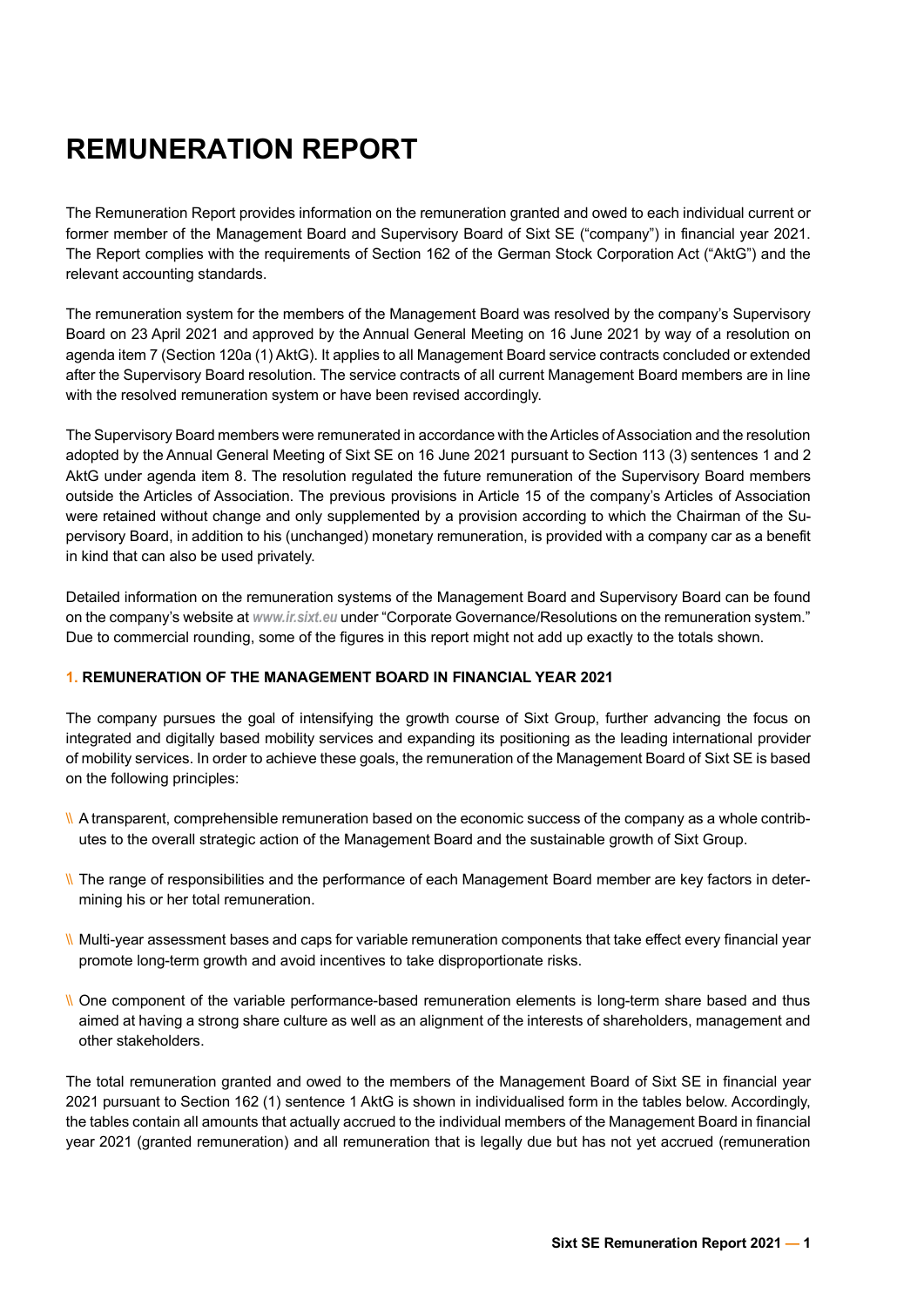# **REMUNERATION REPORT**

The Remuneration Report provides information on the remuneration granted and owed to each individual current or former member of the Management Board and Supervisory Board of Sixt SE ("company") in financial year 2021. The Report complies with the requirements of Section 162 of the German Stock Corporation Act ("AktG") and the relevant accounting standards.

The remuneration system for the members of the Management Board was resolved by the company's Supervisory Board on 23 April 2021 and approved by the Annual General Meeting on 16 June 2021 by way of a resolution on agenda item 7 (Section 120a (1) AktG). It applies to all Management Board service contracts concluded or extended after the Supervisory Board resolution. The service contracts of all current Management Board members are in line with the resolved remuneration system or have been revised accordingly.

The Supervisory Board members were remunerated in accordance with the Articles of Association and the resolution adopted by the Annual General Meeting of Sixt SE on 16 June 2021 pursuant to Section 113 (3) sentences 1 and 2 AktG under agenda item 8. The resolution regulated the future remuneration of the Supervisory Board members outside the Articles of Association. The previous provisions in Article 15 of the company's Articles of Association were retained without change and only supplemented by a provision according to which the Chairman of the Supervisory Board, in addition to his (unchanged) monetary remuneration, is provided with a company car as a benefit in kind that can also be used privately.

Detailed information on the remuneration systems of the Management Board and Supervisory Board can be found on the company's website at *www.ir.sixt.eu* under "Corporate Governance/Resolutions on the remuneration system." Due to commercial rounding, some of the figures in this report might not add up exactly to the totals shown.

# **1. REMUNERATION OF THE MANAGEMENT BOARD IN FINANCIAL YEAR 2021**

The company pursues the goal of intensifying the growth course of Sixt Group, further advancing the focus on integrated and digitally based mobility services and expanding its positioning as the leading international provider of mobility services. In order to achieve these goals, the remuneration of the Management Board of Sixt SE is based on the following principles:

- \\ A transparent, comprehensible remuneration based on the economic success of the company as a whole contributes to the overall strategic action of the Management Board and the sustainable growth of Sixt Group.
- \\ The range of responsibilities and the performance of each Management Board member are key factors in determining his or her total remuneration.
- \\ Multi-year assessment bases and caps for variable remuneration components that take effect every financial year promote long-term growth and avoid incentives to take disproportionate risks.
- \\ One component of the variable performance-based remuneration elements is long-term share based and thus aimed at having a strong share culture as well as an alignment of the interests of shareholders, management and other stakeholders.

The total remuneration granted and owed to the members of the Management Board of Sixt SE in financial year 2021 pursuant to Section 162 (1) sentence 1 AktG is shown in individualised form in the tables below. Accordingly, the tables contain all amounts that actually accrued to the individual members of the Management Board in financial year 2021 (granted remuneration) and all remuneration that is legally due but has not yet accrued (remuneration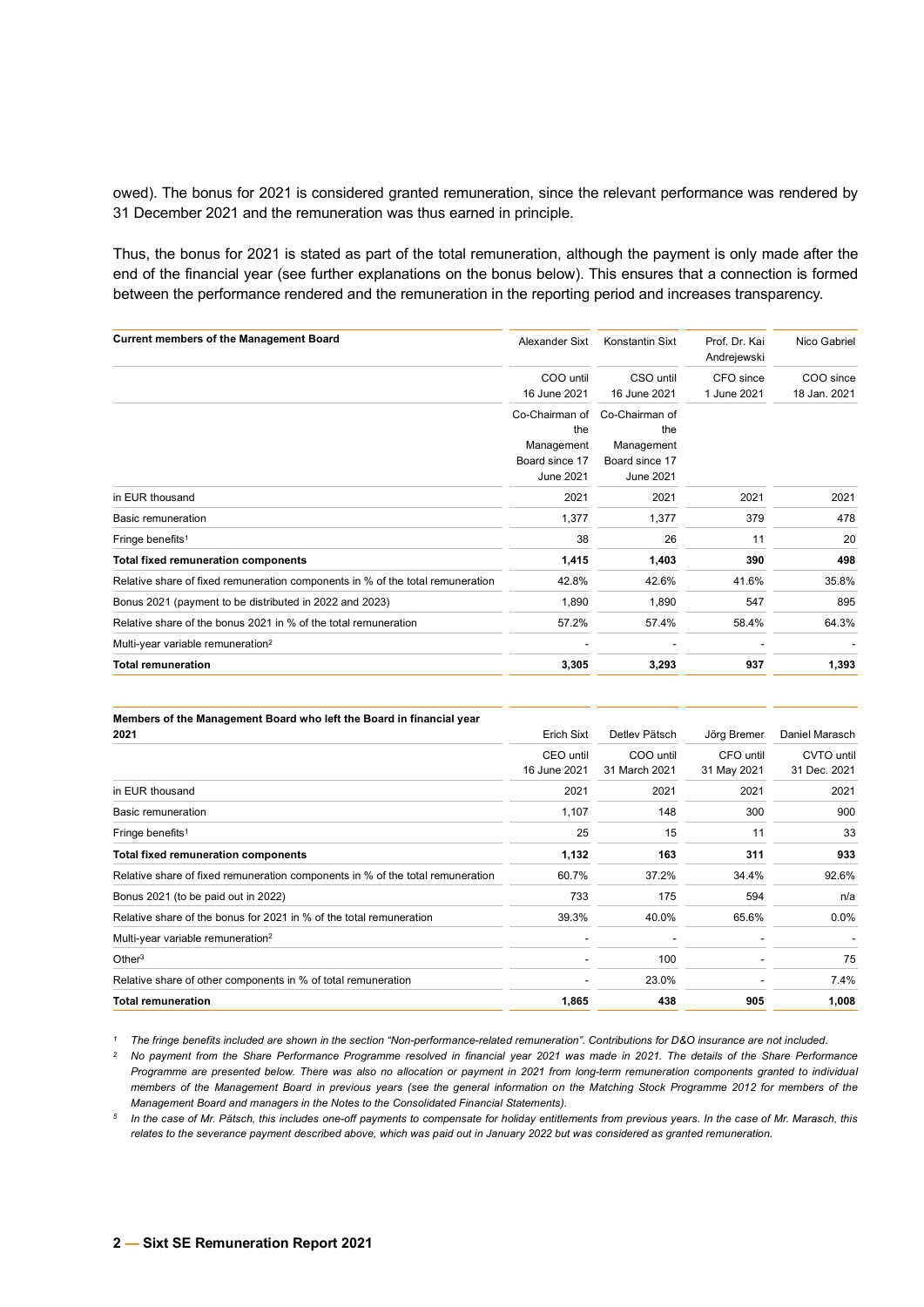owed). The bonus for 2021 is considered granted remuneration, since the relevant performance was rendered by 31 December 2021 and the remuneration was thus earned in principle.

Thus, the bonus for 2021 is stated as part of the total remuneration, although the payment is only made after the end of the financial year (see further explanations on the bonus below). This ensures that a connection is formed between the performance rendered and the remuneration in the reporting period and increases transparency.

| <b>Current members of the Management Board</b>                                 | Alexander Sixt   | Konstantin Sixt  | Prof. Dr. Kai<br>Andrejewski | Nico Gabriel |
|--------------------------------------------------------------------------------|------------------|------------------|------------------------------|--------------|
|                                                                                | COO until        | CSO until        | CFO since                    | COO since    |
|                                                                                | 16 June 2021     | 16 June 2021     | 1 June 2021                  | 18 Jan. 2021 |
|                                                                                | Co-Chairman of   | Co-Chairman of   |                              |              |
|                                                                                | the              | the              |                              |              |
|                                                                                | Management       | Management       |                              |              |
|                                                                                | Board since 17   | Board since 17   |                              |              |
|                                                                                | <b>June 2021</b> | <b>June 2021</b> |                              |              |
| in EUR thousand                                                                | 2021             | 2021             | 2021                         | 2021         |
| Basic remuneration                                                             | 1,377            | 1,377            | 379                          | 478          |
| Fringe benefits <sup>1</sup>                                                   | 38               | 26               | 11                           | 20           |
| <b>Total fixed remuneration components</b>                                     | 1,415            | 1,403            | 390                          | 498          |
| Relative share of fixed remuneration components in % of the total remuneration | 42.8%            | 42.6%            | 41.6%                        | 35.8%        |
| Bonus 2021 (payment to be distributed in 2022 and 2023)                        | 1,890            | 1,890            | 547                          | 895          |
| Relative share of the bonus 2021 in % of the total remuneration                | 57.2%            | 57.4%            | 58.4%                        | 64.3%        |
| Multi-year variable remuneration <sup>2</sup>                                  |                  |                  |                              |              |
| <b>Total remuneration</b>                                                      | 3,305            | 3,293            | 937                          | 1,393        |
|                                                                                |                  |                  |                              |              |

| Members of the Management Board who left the Board in financial year           |              |               |             |                |
|--------------------------------------------------------------------------------|--------------|---------------|-------------|----------------|
| 2021                                                                           | Erich Sixt   | Detlev Pätsch | Jörg Bremer | Daniel Marasch |
|                                                                                | CEO until    | COO until     | CFO until   | CVTO until     |
|                                                                                | 16 June 2021 | 31 March 2021 | 31 May 2021 | 31 Dec. 2021   |
| in EUR thousand                                                                | 2021         | 2021          | 2021        | 2021           |
| Basic remuneration                                                             | 1,107        | 148           | 300         | 900            |
| Fringe benefits <sup>1</sup>                                                   | 25           | 15            | 11          | 33             |
| <b>Total fixed remuneration components</b>                                     | 1,132        | 163           | 311         | 933            |
| Relative share of fixed remuneration components in % of the total remuneration | 60.7%        | 37.2%         | 34.4%       | 92.6%          |
| Bonus 2021 (to be paid out in 2022)                                            | 733          | 175           | 594         | n/a            |
| Relative share of the bonus for 2021 in % of the total remuneration            | 39.3%        | 40.0%         | 65.6%       | $0.0\%$        |
| Multi-year variable remuneration <sup>2</sup>                                  |              |               |             |                |
| Other <sup>3</sup>                                                             |              | 100           |             | 75             |
| Relative share of other components in % of total remuneration                  |              | 23.0%         |             | 7.4%           |
| <b>Total remuneration</b>                                                      | 1,865        | 438           | 905         | 1,008          |

*<sup>1</sup> The fringe benefits included are shown in the section "Non-performance-related remuneration". Contributions for D&O insurance are not included.*

*<sup>2</sup> No payment from the Share Performance Programme resolved in financial year 2021 was made in 2021. The details of the Share Performance Programme are presented below. There was also no allocation or payment in 2021 from long-term remuneration components granted to individual members of the Management Board in previous years (see the general information on the Matching Stock Programme 2012 for members of the Management Board and managers in the Notes to the Consolidated Financial Statements).*

*<sup>5</sup> In the case of Mr. Pätsch, this includes one-off payments to compensate for holiday entitlements from previous years. In the case of Mr. Marasch, this relates to the severance payment described above, which was paid out in January 2022 but was considered as granted remuneration.*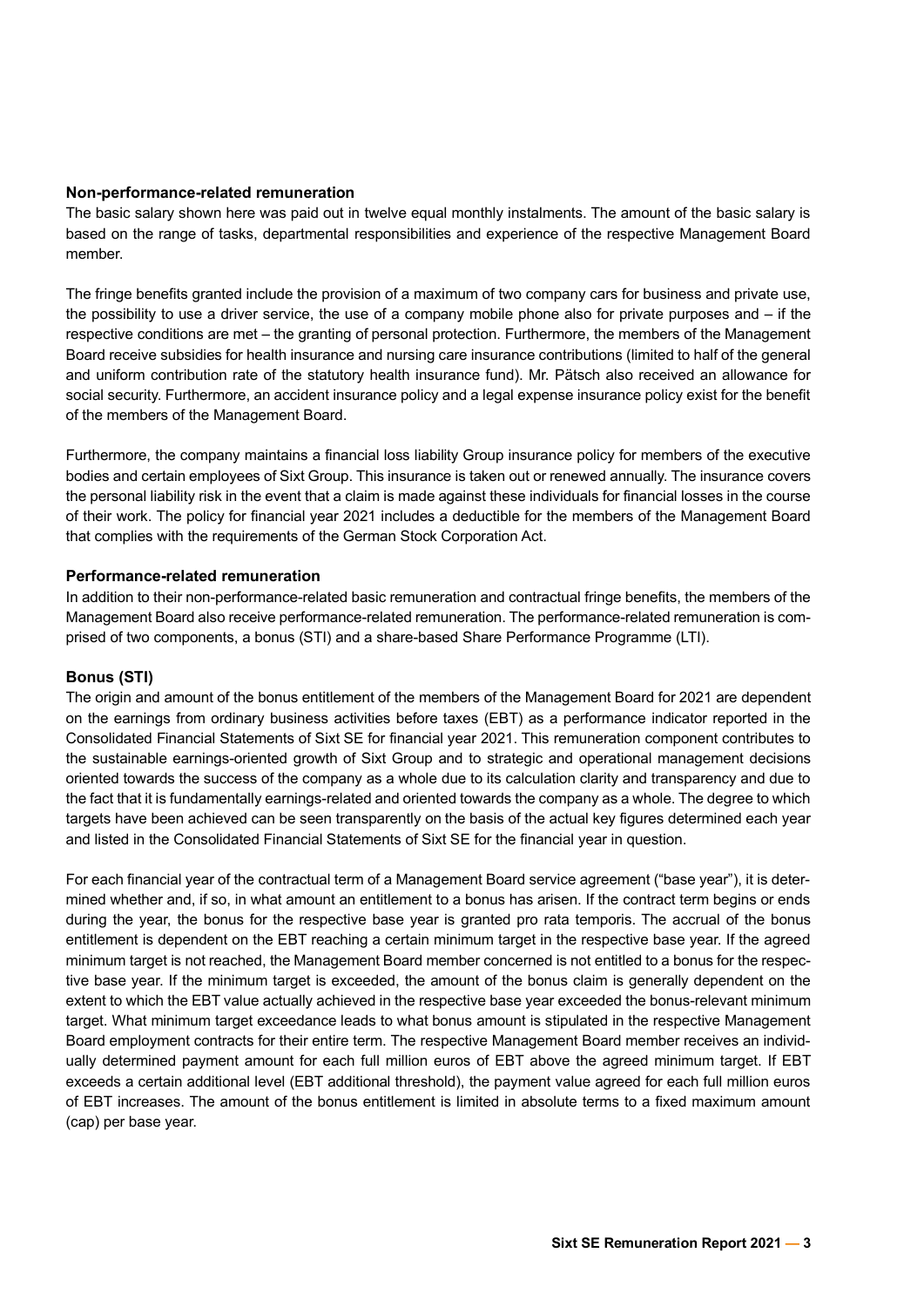## **Non-performance-related remuneration**

The basic salary shown here was paid out in twelve equal monthly instalments. The amount of the basic salary is based on the range of tasks, departmental responsibilities and experience of the respective Management Board member.

The fringe benefits granted include the provision of a maximum of two company cars for business and private use, the possibility to use a driver service, the use of a company mobile phone also for private purposes and – if the respective conditions are met – the granting of personal protection. Furthermore, the members of the Management Board receive subsidies for health insurance and nursing care insurance contributions (limited to half of the general and uniform contribution rate of the statutory health insurance fund). Mr. Pätsch also received an allowance for social security. Furthermore, an accident insurance policy and a legal expense insurance policy exist for the benefit of the members of the Management Board.

Furthermore, the company maintains a financial loss liability Group insurance policy for members of the executive bodies and certain employees of Sixt Group. This insurance is taken out or renewed annually. The insurance covers the personal liability risk in the event that a claim is made against these individuals for financial losses in the course of their work. The policy for financial year 2021 includes a deductible for the members of the Management Board that complies with the requirements of the German Stock Corporation Act.

## **Performance-related remuneration**

In addition to their non-performance-related basic remuneration and contractual fringe benefits, the members of the Management Board also receive performance-related remuneration. The performance-related remuneration is comprised of two components, a bonus (STI) and a share-based Share Performance Programme (LTI).

# **Bonus (STI)**

The origin and amount of the bonus entitlement of the members of the Management Board for 2021 are dependent on the earnings from ordinary business activities before taxes (EBT) as a performance indicator reported in the Consolidated Financial Statements of Sixt SE for financial year 2021. This remuneration component contributes to the sustainable earnings-oriented growth of Sixt Group and to strategic and operational management decisions oriented towards the success of the company as a whole due to its calculation clarity and transparency and due to the fact that it is fundamentally earnings-related and oriented towards the company as a whole. The degree to which targets have been achieved can be seen transparently on the basis of the actual key figures determined each year and listed in the Consolidated Financial Statements of Sixt SE for the financial year in question.

For each financial year of the contractual term of a Management Board service agreement ("base year"), it is determined whether and, if so, in what amount an entitlement to a bonus has arisen. If the contract term begins or ends during the year, the bonus for the respective base year is granted pro rata temporis. The accrual of the bonus entitlement is dependent on the EBT reaching a certain minimum target in the respective base year. If the agreed minimum target is not reached, the Management Board member concerned is not entitled to a bonus for the respective base year. If the minimum target is exceeded, the amount of the bonus claim is generally dependent on the extent to which the EBT value actually achieved in the respective base year exceeded the bonus-relevant minimum target. What minimum target exceedance leads to what bonus amount is stipulated in the respective Management Board employment contracts for their entire term. The respective Management Board member receives an individually determined payment amount for each full million euros of EBT above the agreed minimum target. If EBT exceeds a certain additional level (EBT additional threshold), the payment value agreed for each full million euros of EBT increases. The amount of the bonus entitlement is limited in absolute terms to a fixed maximum amount (cap) per base year.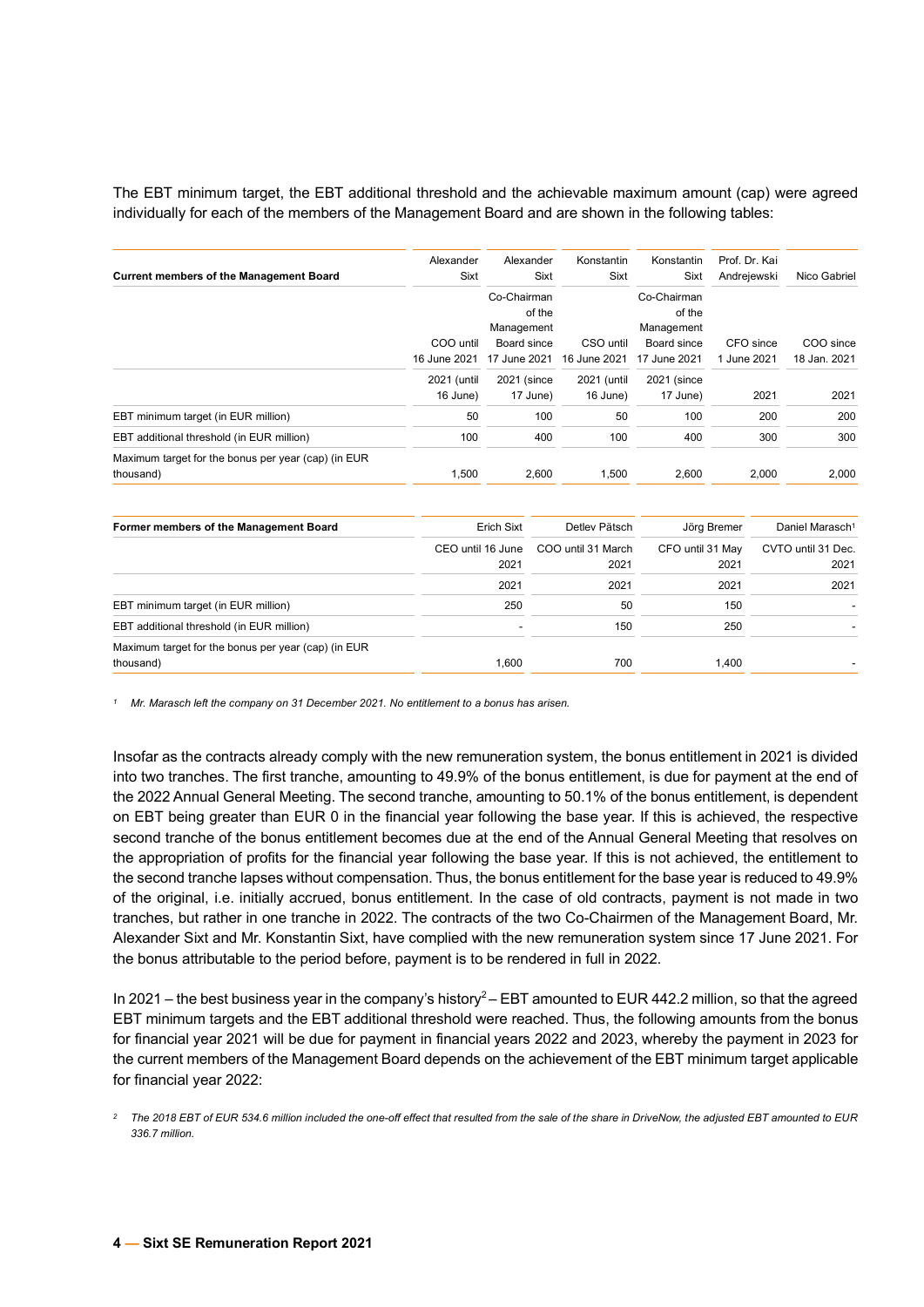The EBT minimum target, the EBT additional threshold and the achievable maximum amount (cap) were agreed individually for each of the members of the Management Board and are shown in the following tables:

| <b>Current members of the Management Board</b>                   | Alexander<br><b>Sixt</b> | Alexander<br>Sixt                   | Konstantin<br>Sixt | Konstantin<br>Sixt                  | Prof. Dr. Kai<br>Andrejewski | Nico Gabriel |
|------------------------------------------------------------------|--------------------------|-------------------------------------|--------------------|-------------------------------------|------------------------------|--------------|
|                                                                  |                          | Co-Chairman<br>of the<br>Management |                    | Co-Chairman<br>of the<br>Management |                              |              |
|                                                                  | COO until                | Board since                         | CSO until          | Board since                         | CFO since                    | COO since    |
|                                                                  | 16 June 2021             | 17 June 2021                        | 16 June 2021       | 17 June 2021                        | 1 June 2021                  | 18 Jan. 2021 |
|                                                                  | 2021 (until              | 2021 (since                         | 2021 (until        | 2021 (since                         |                              |              |
|                                                                  | 16 June)                 | 17 June)                            | 16 June)           | 17 June)                            | 2021                         | 2021         |
| EBT minimum target (in EUR million)                              | 50                       | 100                                 | 50                 | 100                                 | 200                          | 200          |
| EBT additional threshold (in EUR million)                        | 100                      | 400                                 | 100                | 400                                 | 300                          | 300          |
| Maximum target for the bonus per year (cap) (in EUR<br>thousand) | 1,500                    | 2,600                               | 1,500              | 2,600                               | 2,000                        | 2,000        |

| Former members of the Management Board              | <b>Erich Sixt</b> | Detlev Pätsch      | Jörg Bremer      | Daniel Marasch <sup>1</sup> |
|-----------------------------------------------------|-------------------|--------------------|------------------|-----------------------------|
|                                                     | CEO until 16 June | COO until 31 March | CFO until 31 May | CVTO until 31 Dec.          |
|                                                     | 2021              | 2021               | 2021             | 2021                        |
|                                                     | 2021              | 2021               | 2021             | 2021                        |
| EBT minimum target (in EUR million)                 | 250               | 50                 | 150              |                             |
| EBT additional threshold (in EUR million)           |                   | 150                | 250              |                             |
| Maximum target for the bonus per year (cap) (in EUR |                   |                    |                  |                             |
| thousand)                                           | 1.600             | 700                | 1.400            |                             |

*<sup>1</sup> Mr. Marasch left the company on 31 December 2021. No entitlement to a bonus has arisen.*

Insofar as the contracts already comply with the new remuneration system, the bonus entitlement in 2021 is divided into two tranches. The first tranche, amounting to 49.9% of the bonus entitlement, is due for payment at the end of the 2022 Annual General Meeting. The second tranche, amounting to 50.1% of the bonus entitlement, is dependent on EBT being greater than EUR 0 in the financial year following the base year. If this is achieved, the respective second tranche of the bonus entitlement becomes due at the end of the Annual General Meeting that resolves on the appropriation of profits for the financial year following the base year. If this is not achieved, the entitlement to the second tranche lapses without compensation. Thus, the bonus entitlement for the base year is reduced to 49.9% of the original, i.e. initially accrued, bonus entitlement. In the case of old contracts, payment is not made in two tranches, but rather in one tranche in 2022. The contracts of the two Co-Chairmen of the Management Board, Mr. Alexander Sixt and Mr. Konstantin Sixt, have complied with the new remuneration system since 17 June 2021. For the bonus attributable to the period before, payment is to be rendered in full in 2022.

In 2021 – the best business year in the company's history<sup>2</sup> – EBT amounted to EUR 442.2 million, so that the agreed EBT minimum targets and the EBT additional threshold were reached. Thus, the following amounts from the bonus for financial year 2021 will be due for payment in financial years 2022 and 2023, whereby the payment in 2023 for the current members of the Management Board depends on the achievement of the EBT minimum target applicable for financial year 2022:

*<sup>2</sup> The 2018 EBT of EUR 534.6 million included the one-off effect that resulted from the sale of the share in DriveNow, the adjusted EBT amounted to EUR 336.7 million.*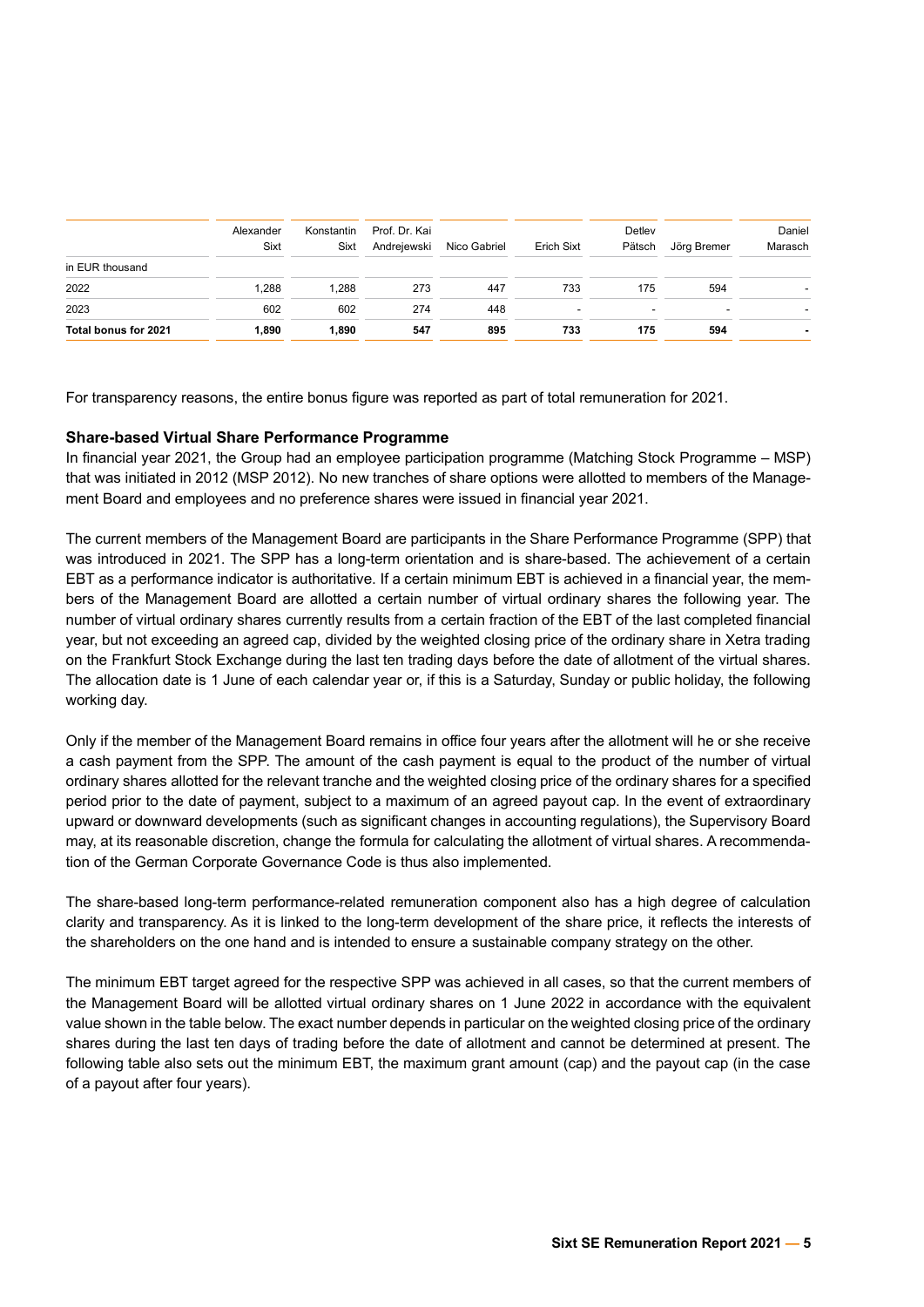| in EUR thousand      | Alexander<br>Sixt | Konstantin<br>Sixt | Prof. Dr. Kai<br>Andrejewski | Nico Gabriel | Erich Sixt | Detley<br>Pätsch         | Jörg Bremer              | Daniel<br>Marasch |
|----------------------|-------------------|--------------------|------------------------------|--------------|------------|--------------------------|--------------------------|-------------------|
| 2022                 | .288              | 1,288              | 273                          | 447          | 733        | 175                      | 594                      |                   |
| 2023                 | 602               | 602                | 274                          | 448          | -          | $\overline{\phantom{0}}$ | $\overline{\phantom{0}}$ |                   |
| Total bonus for 2021 | 1.890             | 1.890              | 547                          | 895          | 733        | 175                      | 594                      |                   |

For transparency reasons, the entire bonus figure was reported as part of total remuneration for 2021.

## **Share-based Virtual Share Performance Programme**

In financial year 2021, the Group had an employee participation programme (Matching Stock Programme – MSP) that was initiated in 2012 (MSP 2012). No new tranches of share options were allotted to members of the Management Board and employees and no preference shares were issued in financial year 2021.

The current members of the Management Board are participants in the Share Performance Programme (SPP) that was introduced in 2021. The SPP has a long-term orientation and is share-based. The achievement of a certain EBT as a performance indicator is authoritative. If a certain minimum EBT is achieved in a financial year, the members of the Management Board are allotted a certain number of virtual ordinary shares the following year. The number of virtual ordinary shares currently results from a certain fraction of the EBT of the last completed financial year, but not exceeding an agreed cap, divided by the weighted closing price of the ordinary share in Xetra trading on the Frankfurt Stock Exchange during the last ten trading days before the date of allotment of the virtual shares. The allocation date is 1 June of each calendar year or, if this is a Saturday, Sunday or public holiday, the following working day.

Only if the member of the Management Board remains in office four years after the allotment will he or she receive a cash payment from the SPP. The amount of the cash payment is equal to the product of the number of virtual ordinary shares allotted for the relevant tranche and the weighted closing price of the ordinary shares for a specified period prior to the date of payment, subject to a maximum of an agreed payout cap. In the event of extraordinary upward or downward developments (such as significant changes in accounting regulations), the Supervisory Board may, at its reasonable discretion, change the formula for calculating the allotment of virtual shares. A recommendation of the German Corporate Governance Code is thus also implemented.

The share-based long-term performance-related remuneration component also has a high degree of calculation clarity and transparency. As it is linked to the long-term development of the share price, it reflects the interests of the shareholders on the one hand and is intended to ensure a sustainable company strategy on the other.

The minimum EBT target agreed for the respective SPP was achieved in all cases, so that the current members of the Management Board will be allotted virtual ordinary shares on 1 June 2022 in accordance with the equivalent value shown in the table below. The exact number depends in particular on the weighted closing price of the ordinary shares during the last ten days of trading before the date of allotment and cannot be determined at present. The following table also sets out the minimum EBT, the maximum grant amount (cap) and the payout cap (in the case of a payout after four years).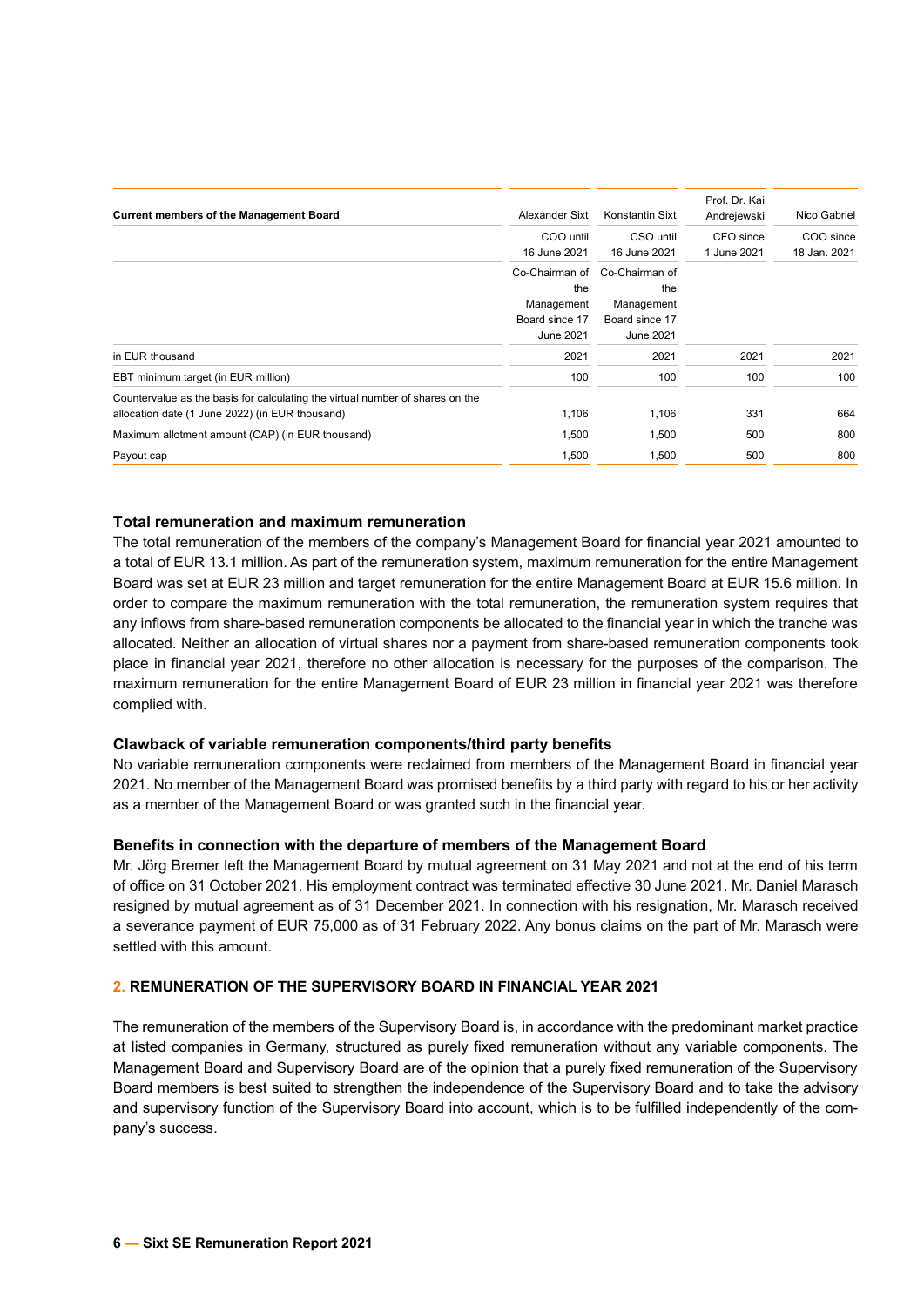| <b>Current members of the Management Board</b>                                | Alexander Sixt | Konstantin Sixt | Prof. Dr. Kai<br>Andrejewski | Nico Gabriel |
|-------------------------------------------------------------------------------|----------------|-----------------|------------------------------|--------------|
|                                                                               | COO until      | CSO until       | CFO since                    | COO since    |
|                                                                               | 16 June 2021   | 16 June 2021    | 1 June 2021                  | 18 Jan. 2021 |
|                                                                               | Co-Chairman of | Co-Chairman of  |                              |              |
|                                                                               | the            | the             |                              |              |
|                                                                               | Management     | Management      |                              |              |
|                                                                               | Board since 17 | Board since 17  |                              |              |
|                                                                               | June 2021      | June 2021       |                              |              |
| in EUR thousand                                                               | 2021           | 2021            | 2021                         | 2021         |
| EBT minimum target (in EUR million)                                           | 100            | 100             | 100                          | 100          |
| Countervalue as the basis for calculating the virtual number of shares on the |                |                 |                              |              |
| allocation date (1 June 2022) (in EUR thousand)                               | 1,106          | 1,106           | 331                          | 664          |
| Maximum allotment amount (CAP) (in EUR thousand)                              | 1,500          | 1,500           | 500                          | 800          |
| Payout cap                                                                    | 1,500          | 1,500           | 500                          | 800          |
|                                                                               |                |                 |                              |              |

## **Total remuneration and maximum remuneration**

The total remuneration of the members of the company's Management Board for financial year 2021 amounted to a total of EUR 13.1 million. As part of the remuneration system, maximum remuneration for the entire Management Board was set at EUR 23 million and target remuneration for the entire Management Board at EUR 15.6 million. In order to compare the maximum remuneration with the total remuneration, the remuneration system requires that any inflows from share-based remuneration components be allocated to the financial year in which the tranche was allocated. Neither an allocation of virtual shares nor a payment from share-based remuneration components took place in financial year 2021, therefore no other allocation is necessary for the purposes of the comparison. The maximum remuneration for the entire Management Board of EUR 23 million in financial year 2021 was therefore complied with.

## **Clawback of variable remuneration components/third party benefits**

No variable remuneration components were reclaimed from members of the Management Board in financial year 2021. No member of the Management Board was promised benefits by a third party with regard to his or her activity as a member of the Management Board or was granted such in the financial year.

## **Benefits in connection with the departure of members of the Management Board**

Mr. Jörg Bremer left the Management Board by mutual agreement on 31 May 2021 and not at the end of his term of office on 31 October 2021. His employment contract was terminated effective 30 June 2021. Mr. Daniel Marasch resigned by mutual agreement as of 31 December 2021. In connection with his resignation, Mr. Marasch received a severance payment of EUR 75,000 as of 31 February 2022. Any bonus claims on the part of Mr. Marasch were settled with this amount.

## **2. REMUNERATION OF THE SUPERVISORY BOARD IN FINANCIAL YEAR 2021**

The remuneration of the members of the Supervisory Board is, in accordance with the predominant market practice at listed companies in Germany, structured as purely fixed remuneration without any variable components. The Management Board and Supervisory Board are of the opinion that a purely fixed remuneration of the Supervisory Board members is best suited to strengthen the independence of the Supervisory Board and to take the advisory and supervisory function of the Supervisory Board into account, which is to be fulfilled independently of the company's success.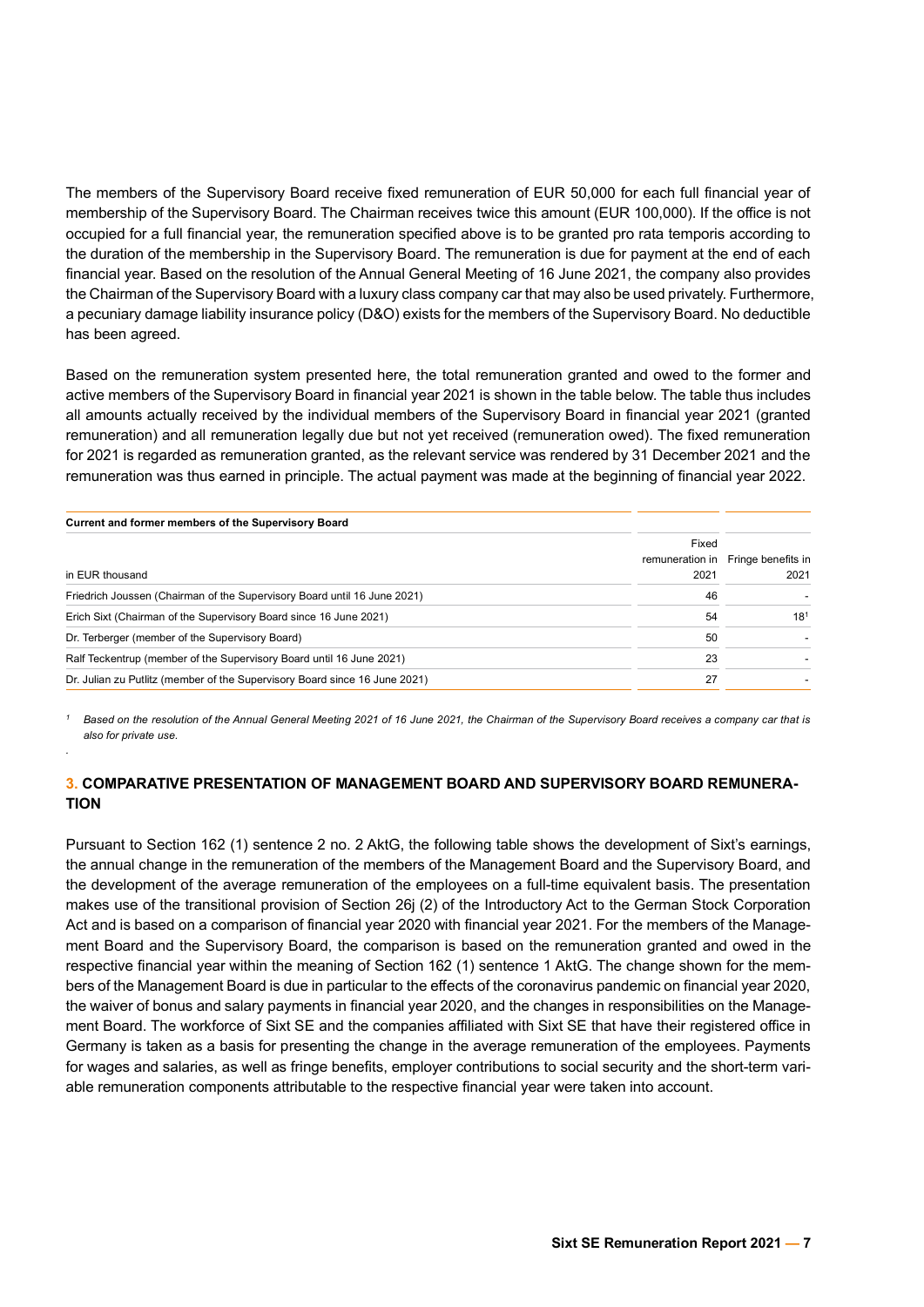The members of the Supervisory Board receive fixed remuneration of EUR 50,000 for each full financial year of membership of the Supervisory Board. The Chairman receives twice this amount (EUR 100,000). If the office is not occupied for a full financial year, the remuneration specified above is to be granted pro rata temporis according to the duration of the membership in the Supervisory Board. The remuneration is due for payment at the end of each financial year. Based on the resolution of the Annual General Meeting of 16 June 2021, the company also provides the Chairman of the Supervisory Board with a luxury class company car that may also be used privately. Furthermore, a pecuniary damage liability insurance policy (D&O) exists for the members of the Supervisory Board. No deductible has been agreed.

Based on the remuneration system presented here, the total remuneration granted and owed to the former and active members of the Supervisory Board in financial year 2021 is shown in the table below. The table thus includes all amounts actually received by the individual members of the Supervisory Board in financial year 2021 (granted remuneration) and all remuneration legally due but not yet received (remuneration owed). The fixed remuneration for 2021 is regarded as remuneration granted, as the relevant service was rendered by 31 December 2021 and the remuneration was thus earned in principle. The actual payment was made at the beginning of financial year 2022.

| Current and former members of the Supervisory Board                        |                 |                    |
|----------------------------------------------------------------------------|-----------------|--------------------|
|                                                                            | Fixed           |                    |
|                                                                            | remuneration in | Fringe benefits in |
| in EUR thousand                                                            | 2021            | 2021               |
| Friedrich Joussen (Chairman of the Supervisory Board until 16 June 2021)   | 46              |                    |
| Erich Sixt (Chairman of the Supervisory Board since 16 June 2021)          | 54              | 18 <sup>1</sup>    |
| Dr. Terberger (member of the Supervisory Board)                            | 50              |                    |
| Ralf Teckentrup (member of the Supervisory Board until 16 June 2021)       | 23              |                    |
| Dr. Julian zu Putlitz (member of the Supervisory Board since 16 June 2021) | 27              |                    |

*<sup>1</sup> Based on the resolution of the Annual General Meeting 2021 of 16 June 2021, the Chairman of the Supervisory Board receives a company car that is also for private use.*

# **3. COMPARATIVE PRESENTATION OF MANAGEMENT BOARD AND SUPERVISORY BOARD REMUNERA-TION**

*.*

Pursuant to Section 162 (1) sentence 2 no. 2 AktG, the following table shows the development of Sixt's earnings, the annual change in the remuneration of the members of the Management Board and the Supervisory Board, and the development of the average remuneration of the employees on a full-time equivalent basis. The presentation makes use of the transitional provision of Section 26j (2) of the Introductory Act to the German Stock Corporation Act and is based on a comparison of financial year 2020 with financial year 2021. For the members of the Management Board and the Supervisory Board, the comparison is based on the remuneration granted and owed in the respective financial year within the meaning of Section 162 (1) sentence 1 AktG. The change shown for the members of the Management Board is due in particular to the effects of the coronavirus pandemic on financial year 2020, the waiver of bonus and salary payments in financial year 2020, and the changes in responsibilities on the Management Board. The workforce of Sixt SE and the companies affiliated with Sixt SE that have their registered office in Germany is taken as a basis for presenting the change in the average remuneration of the employees. Payments for wages and salaries, as well as fringe benefits, employer contributions to social security and the short-term variable remuneration components attributable to the respective financial year were taken into account.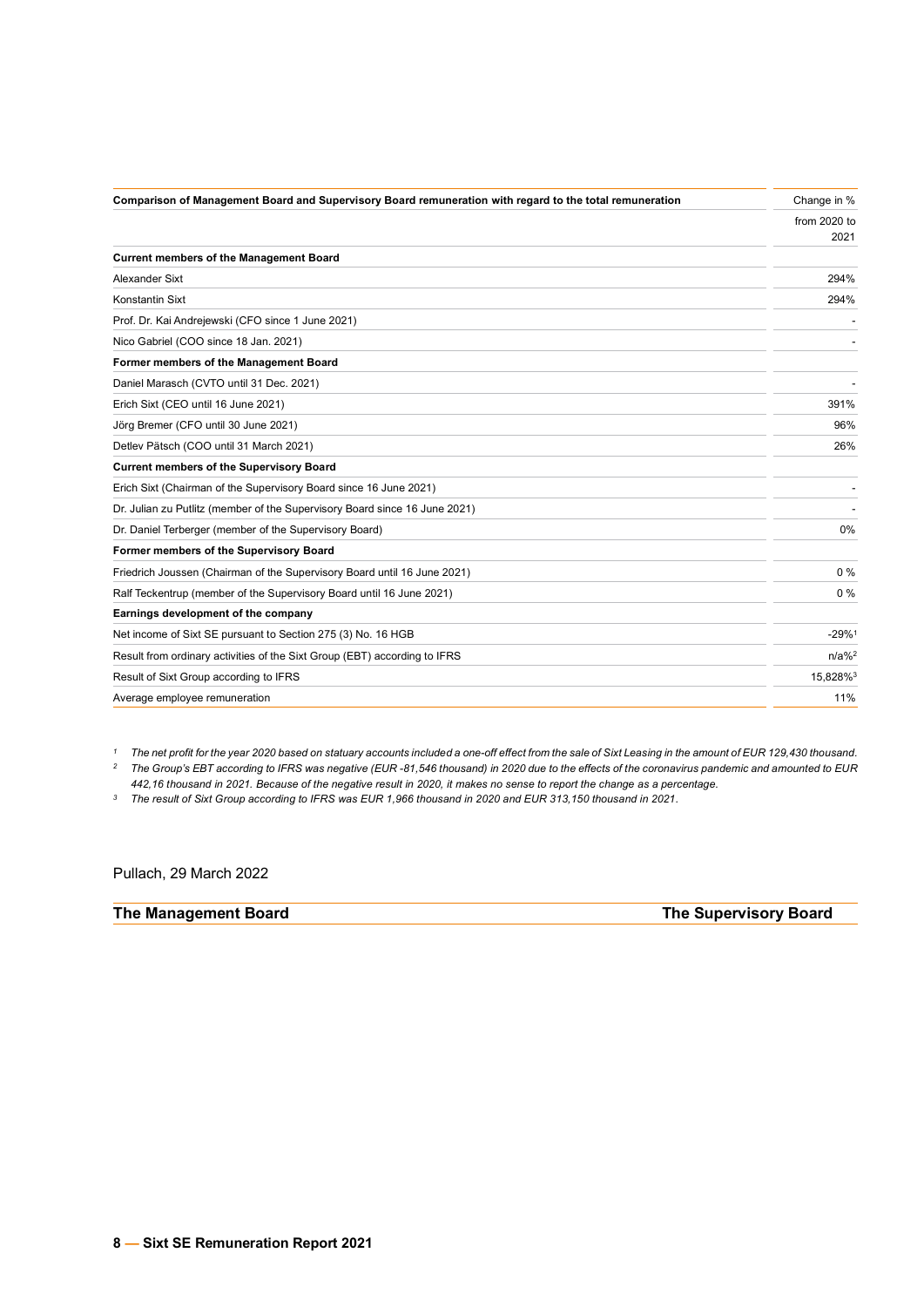| Comparison of Management Board and Supervisory Board remuneration with regard to the total remuneration | Change in %         |
|---------------------------------------------------------------------------------------------------------|---------------------|
|                                                                                                         | from 2020 to        |
|                                                                                                         | 2021                |
| <b>Current members of the Management Board</b>                                                          |                     |
| Alexander Sixt                                                                                          | 294%                |
| Konstantin Sixt                                                                                         | 294%                |
| Prof. Dr. Kai Andrejewski (CFO since 1 June 2021)                                                       |                     |
| Nico Gabriel (COO since 18 Jan. 2021)                                                                   |                     |
| Former members of the Management Board                                                                  |                     |
| Daniel Marasch (CVTO until 31 Dec. 2021)                                                                |                     |
| Erich Sixt (CEO until 16 June 2021)                                                                     | 391%                |
| Jörg Bremer (CFO until 30 June 2021)                                                                    | 96%                 |
| Detlev Pätsch (COO until 31 March 2021)                                                                 | 26%                 |
| <b>Current members of the Supervisory Board</b>                                                         |                     |
| Erich Sixt (Chairman of the Supervisory Board since 16 June 2021)                                       |                     |
| Dr. Julian zu Putlitz (member of the Supervisory Board since 16 June 2021)                              |                     |
| Dr. Daniel Terberger (member of the Supervisory Board)                                                  | 0%                  |
| Former members of the Supervisory Board                                                                 |                     |
| Friedrich Joussen (Chairman of the Supervisory Board until 16 June 2021)                                | $0\%$               |
| Ralf Teckentrup (member of the Supervisory Board until 16 June 2021)                                    | 0%                  |
| Earnings development of the company                                                                     |                     |
| Net income of Sixt SE pursuant to Section 275 (3) No. 16 HGB                                            | $-29%$ <sup>1</sup> |
| Result from ordinary activities of the Sixt Group (EBT) according to IFRS                               | $n/a\%^2$           |
| Result of Sixt Group according to IFRS                                                                  | 15,828%3            |
| Average employee remuneration                                                                           | 11%                 |

*<sup>1</sup> The net profit for the year 2020 based on statuary accounts included a one-off effect from the sale of Sixt Leasing in the amount of EUR 129,430 thousand. <sup>2</sup> The Group's EBT according to IFRS was negative (EUR -81,546 thousand) in 2020 due to the effects of the coronavirus pandemic and amounted to EUR* 

*442,16 thousand in 2021. Because of the negative result in 2020, it makes no sense to report the change as a percentage.*

*<sup>3</sup> The result of Sixt Group according to IFRS was EUR 1,966 thousand in 2020 and EUR 313,150 thousand in 2021.*

Pullach, 29 March 2022

## **The Management Board The Supervisory Board**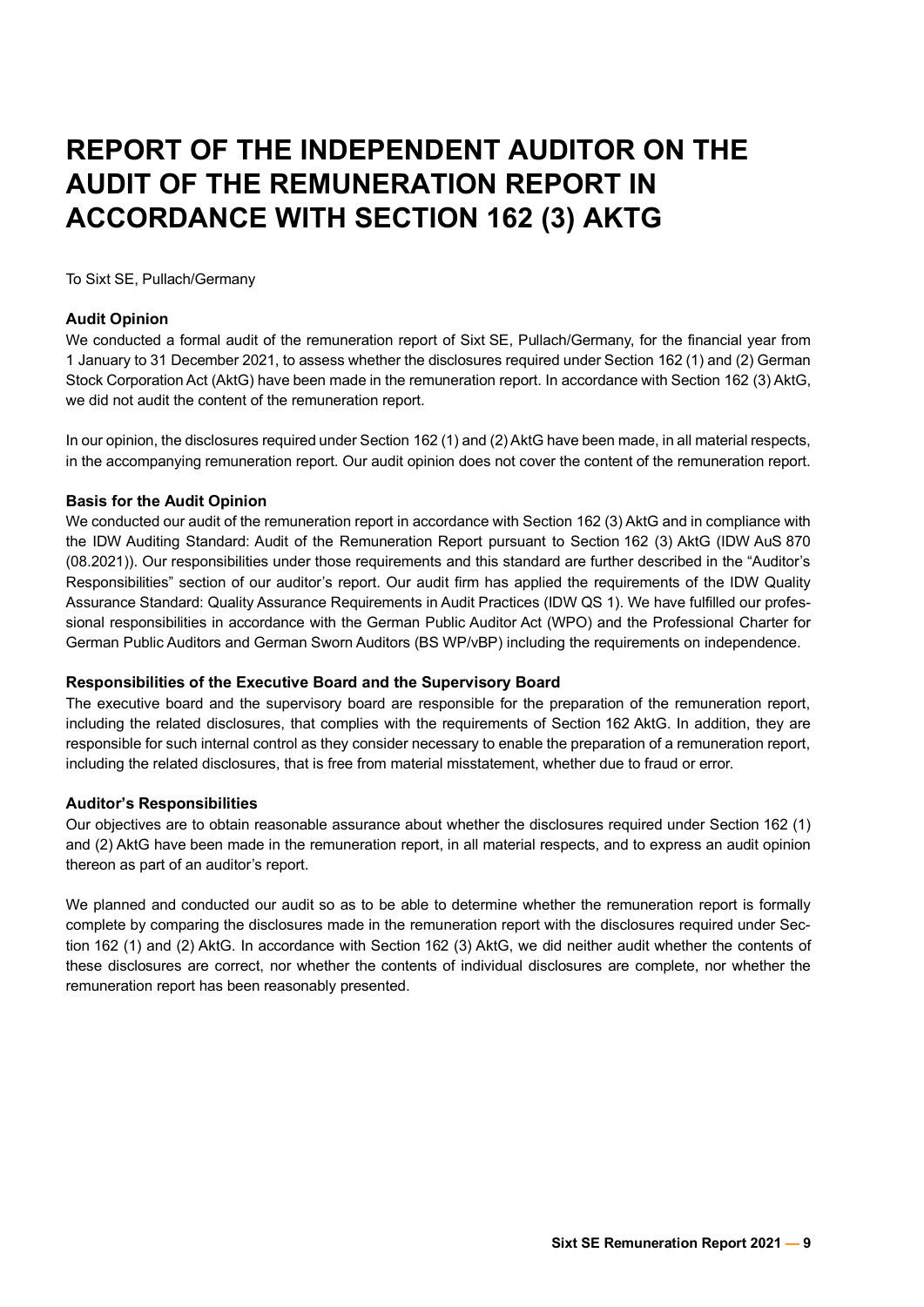# **REPORT OF THE INDEPENDENT AUDITOR ON THE AUDIT OF THE REMUNERATION REPORT IN ACCORDANCE WITH SECTION 162 (3) AKTG**

To Sixt SE, Pullach/Germany

# **Audit Opinion**

We conducted a formal audit of the remuneration report of Sixt SE, Pullach/Germany, for the financial year from 1 January to 31 December 2021, to assess whether the disclosures required under Section 162 (1) and (2) German Stock Corporation Act (AktG) have been made in the remuneration report. In accordance with Section 162 (3) AktG, we did not audit the content of the remuneration report.

In our opinion, the disclosures required under Section 162 (1) and (2) AktG have been made, in all material respects, in the accompanying remuneration report. Our audit opinion does not cover the content of the remuneration report.

# **Basis for the Audit Opinion**

We conducted our audit of the remuneration report in accordance with Section 162 (3) AktG and in compliance with the IDW Auditing Standard: Audit of the Remuneration Report pursuant to Section 162 (3) AktG (IDW AuS 870 (08.2021)). Our responsibilities under those requirements and this standard are further described in the "Auditor's Responsibilities" section of our auditor's report. Our audit firm has applied the requirements of the IDW Quality Assurance Standard: Quality Assurance Requirements in Audit Practices (IDW QS 1). We have fulfilled our professional responsibilities in accordance with the German Public Auditor Act (WPO) and the Professional Charter for German Public Auditors and German Sworn Auditors (BS WP/vBP) including the requirements on independence.

# **Responsibilities of the Executive Board and the Supervisory Board**

The executive board and the supervisory board are responsible for the preparation of the remuneration report, including the related disclosures, that complies with the requirements of Section 162 AktG. In addition, they are responsible for such internal control as they consider necessary to enable the preparation of a remuneration report, including the related disclosures, that is free from material misstatement, whether due to fraud or error.

# **Auditor's Responsibilities**

Our objectives are to obtain reasonable assurance about whether the disclosures required under Section 162 (1) and (2) AktG have been made in the remuneration report, in all material respects, and to express an audit opinion thereon as part of an auditor's report.

We planned and conducted our audit so as to be able to determine whether the remuneration report is formally complete by comparing the disclosures made in the remuneration report with the disclosures required under Section 162 (1) and (2) AktG. In accordance with Section 162 (3) AktG, we did neither audit whether the contents of these disclosures are correct, nor whether the contents of individual disclosures are complete, nor whether the remuneration report has been reasonably presented.